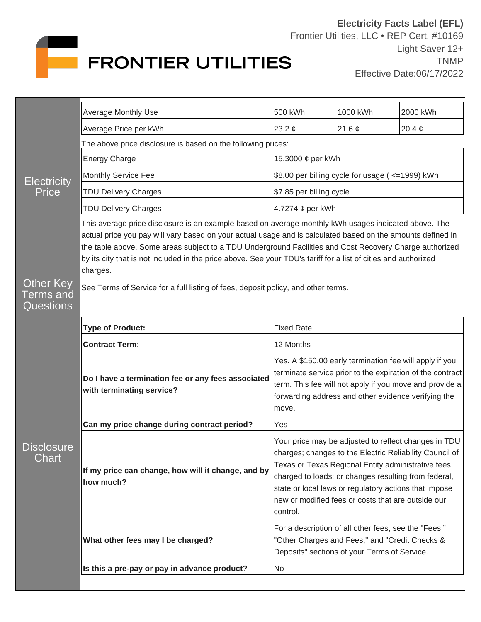

| <b>Electricity</b><br>Price               | <b>Average Monthly Use</b>                                                                                                                                                                                                                                                                                                                                                                                                                                   | 500 kWh                                                                                                                                                                                                                                                                                                                                                  | 1000 kWh    | 2000 kWh    |  |
|-------------------------------------------|--------------------------------------------------------------------------------------------------------------------------------------------------------------------------------------------------------------------------------------------------------------------------------------------------------------------------------------------------------------------------------------------------------------------------------------------------------------|----------------------------------------------------------------------------------------------------------------------------------------------------------------------------------------------------------------------------------------------------------------------------------------------------------------------------------------------------------|-------------|-------------|--|
|                                           | Average Price per kWh                                                                                                                                                                                                                                                                                                                                                                                                                                        | 23.2 $\phi$                                                                                                                                                                                                                                                                                                                                              | 21.6 $\phi$ | 20.4 $\phi$ |  |
|                                           | The above price disclosure is based on the following prices:                                                                                                                                                                                                                                                                                                                                                                                                 |                                                                                                                                                                                                                                                                                                                                                          |             |             |  |
|                                           | <b>Energy Charge</b>                                                                                                                                                                                                                                                                                                                                                                                                                                         | 15.3000 ¢ per kWh                                                                                                                                                                                                                                                                                                                                        |             |             |  |
|                                           | Monthly Service Fee                                                                                                                                                                                                                                                                                                                                                                                                                                          | \$8.00 per billing cycle for usage (<=1999) kWh                                                                                                                                                                                                                                                                                                          |             |             |  |
|                                           | <b>TDU Delivery Charges</b>                                                                                                                                                                                                                                                                                                                                                                                                                                  | \$7.85 per billing cycle                                                                                                                                                                                                                                                                                                                                 |             |             |  |
|                                           | <b>TDU Delivery Charges</b>                                                                                                                                                                                                                                                                                                                                                                                                                                  | 4.7274 ¢ per kWh                                                                                                                                                                                                                                                                                                                                         |             |             |  |
|                                           | This average price disclosure is an example based on average monthly kWh usages indicated above. The<br>actual price you pay will vary based on your actual usage and is calculated based on the amounts defined in<br>the table above. Some areas subject to a TDU Underground Facilities and Cost Recovery Charge authorized<br>by its city that is not included in the price above. See your TDU's tariff for a list of cities and authorized<br>charges. |                                                                                                                                                                                                                                                                                                                                                          |             |             |  |
| Other Key<br>erms and<br><b>Questions</b> | See Terms of Service for a full listing of fees, deposit policy, and other terms.                                                                                                                                                                                                                                                                                                                                                                            |                                                                                                                                                                                                                                                                                                                                                          |             |             |  |
| <b>Disclosure</b><br>Chart                | <b>Type of Product:</b>                                                                                                                                                                                                                                                                                                                                                                                                                                      | <b>Fixed Rate</b>                                                                                                                                                                                                                                                                                                                                        |             |             |  |
|                                           | <b>Contract Term:</b>                                                                                                                                                                                                                                                                                                                                                                                                                                        | 12 Months                                                                                                                                                                                                                                                                                                                                                |             |             |  |
|                                           | Do I have a termination fee or any fees associated<br>with terminating service?                                                                                                                                                                                                                                                                                                                                                                              | Yes. A \$150.00 early termination fee will apply if you<br>terminate service prior to the expiration of the contract<br>term. This fee will not apply if you move and provide a<br>forwarding address and other evidence verifying the<br>move.                                                                                                          |             |             |  |
|                                           | Can my price change during contract period?                                                                                                                                                                                                                                                                                                                                                                                                                  | Yes                                                                                                                                                                                                                                                                                                                                                      |             |             |  |
|                                           | If my price can change, how will it change, and by<br>how much?                                                                                                                                                                                                                                                                                                                                                                                              | Your price may be adjusted to reflect changes in TDU<br>charges; changes to the Electric Reliability Council of<br>Texas or Texas Regional Entity administrative fees<br>charged to loads; or changes resulting from federal,<br>state or local laws or regulatory actions that impose<br>new or modified fees or costs that are outside our<br>control. |             |             |  |
|                                           | What other fees may I be charged?                                                                                                                                                                                                                                                                                                                                                                                                                            | For a description of all other fees, see the "Fees,"<br>"Other Charges and Fees," and "Credit Checks &<br>Deposits" sections of your Terms of Service.                                                                                                                                                                                                   |             |             |  |
|                                           | Is this a pre-pay or pay in advance product?                                                                                                                                                                                                                                                                                                                                                                                                                 | No                                                                                                                                                                                                                                                                                                                                                       |             |             |  |
|                                           |                                                                                                                                                                                                                                                                                                                                                                                                                                                              |                                                                                                                                                                                                                                                                                                                                                          |             |             |  |